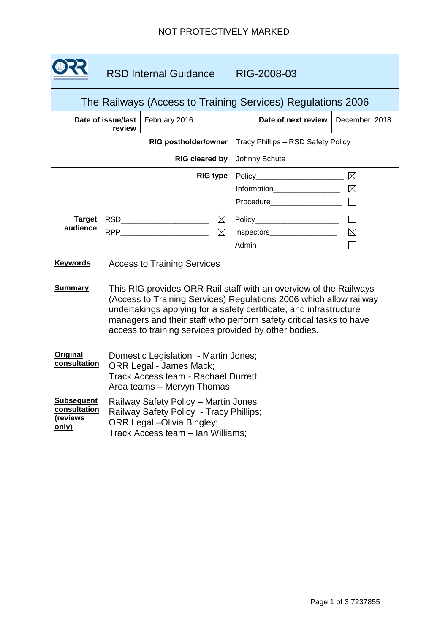## NOT PROTECTIVELY MARKED

|                                                             | <b>RSD Internal Guidance</b>                                                                                                                                                                                                                                                                                                                 |                                    | RIG-2008-03                                                                                                                 |                            |  |
|-------------------------------------------------------------|----------------------------------------------------------------------------------------------------------------------------------------------------------------------------------------------------------------------------------------------------------------------------------------------------------------------------------------------|------------------------------------|-----------------------------------------------------------------------------------------------------------------------------|----------------------------|--|
| The Railways (Access to Training Services) Regulations 2006 |                                                                                                                                                                                                                                                                                                                                              |                                    |                                                                                                                             |                            |  |
| Date of issue/last<br>February 2016<br>review               |                                                                                                                                                                                                                                                                                                                                              |                                    | Date of next review                                                                                                         | December 2018              |  |
| <b>RIG postholder/owner</b>                                 |                                                                                                                                                                                                                                                                                                                                              |                                    | Tracy Phillips - RSD Safety Policy                                                                                          |                            |  |
| RIG cleared by                                              |                                                                                                                                                                                                                                                                                                                                              |                                    | Johnny Schute                                                                                                               |                            |  |
|                                                             |                                                                                                                                                                                                                                                                                                                                              | <b>RIG type</b>                    | Policy________________________<br>Information__________________                                                             | $\boxtimes$<br>$\boxtimes$ |  |
| <b>Target</b><br>audience                                   | $\boxtimes$<br>RSD_________________________<br>RPP__________________________<br>$\boxtimes$                                                                                                                                                                                                                                                  |                                    | Policy__________________________<br>$\Box$<br>Inspectors___________________<br>$\boxtimes$<br>Admin________________________ |                            |  |
| <b>Keywords</b>                                             |                                                                                                                                                                                                                                                                                                                                              | <b>Access to Training Services</b> |                                                                                                                             |                            |  |
| <b>Summary</b>                                              | This RIG provides ORR Rail staff with an overview of the Railways<br>(Access to Training Services) Regulations 2006 which allow railway<br>undertakings applying for a safety certificate, and infrastructure<br>managers and their staff who perform safety critical tasks to have<br>access to training services provided by other bodies. |                                    |                                                                                                                             |                            |  |
| <b>Original</b><br>consultation                             | Domestic Legislation - Martin Jones;<br>ORR Legal - James Mack;<br><b>Track Access team - Rachael Durrett</b><br>Area teams - Mervyn Thomas                                                                                                                                                                                                  |                                    |                                                                                                                             |                            |  |
| <b>Subsequent</b><br>consultation<br>(reviews<br>only)      | Railway Safety Policy - Martin Jones<br>Railway Safety Policy - Tracy Phillips;<br>ORR Legal - Olivia Bingley;<br>Track Access team - Ian Williams;                                                                                                                                                                                          |                                    |                                                                                                                             |                            |  |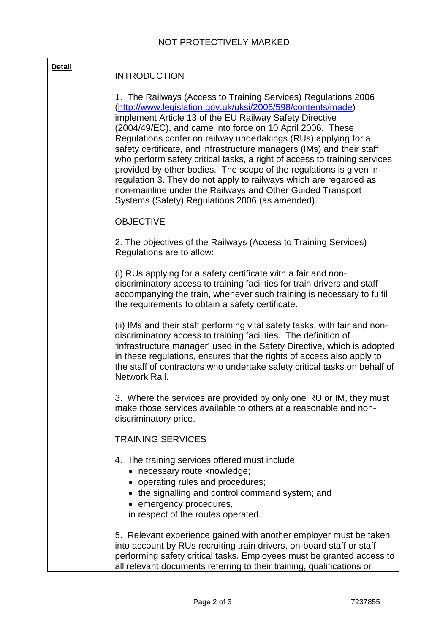| <b>Detail</b> | <b>INTRODUCTION</b>                                                                                                                                                                                                                                                                                                                                                                                                                                                                                                                                                                                                                                                                                                                        |  |  |  |
|---------------|--------------------------------------------------------------------------------------------------------------------------------------------------------------------------------------------------------------------------------------------------------------------------------------------------------------------------------------------------------------------------------------------------------------------------------------------------------------------------------------------------------------------------------------------------------------------------------------------------------------------------------------------------------------------------------------------------------------------------------------------|--|--|--|
|               | 1. The Railways (Access to Training Services) Regulations 2006<br>(http://www.legislation.gov.uk/uksi/2006/598/contents/made)<br>implement Article 13 of the EU Railway Safety Directive<br>(2004/49/EC), and came into force on 10 April 2006. These<br>Regulations confer on railway undertakings (RUs) applying for a<br>safety certificate, and infrastructure managers (IMs) and their staff<br>who perform safety critical tasks, a right of access to training services<br>provided by other bodies. The scope of the regulations is given in<br>regulation 3. They do not apply to railways which are regarded as<br>non-mainline under the Railways and Other Guided Transport<br>Systems (Safety) Regulations 2006 (as amended). |  |  |  |
|               | <b>OBJECTIVE</b>                                                                                                                                                                                                                                                                                                                                                                                                                                                                                                                                                                                                                                                                                                                           |  |  |  |
|               | 2. The objectives of the Railways (Access to Training Services)<br>Regulations are to allow:                                                                                                                                                                                                                                                                                                                                                                                                                                                                                                                                                                                                                                               |  |  |  |
|               | (i) RUs applying for a safety certificate with a fair and non-<br>discriminatory access to training facilities for train drivers and staff<br>accompanying the train, whenever such training is necessary to fulfil<br>the requirements to obtain a safety certificate.                                                                                                                                                                                                                                                                                                                                                                                                                                                                    |  |  |  |
|               | (ii) IMs and their staff performing vital safety tasks, with fair and non-<br>discriminatory access to training facilities. The definition of<br>'infrastructure manager' used in the Safety Directive, which is adopted<br>in these regulations, ensures that the rights of access also apply to<br>the staff of contractors who undertake safety critical tasks on behalf of<br>Network Rail.                                                                                                                                                                                                                                                                                                                                            |  |  |  |
|               | 3. Where the services are provided by only one RU or IM, they must<br>make those services available to others at a reasonable and non-<br>discriminatory price.                                                                                                                                                                                                                                                                                                                                                                                                                                                                                                                                                                            |  |  |  |
|               | <b>TRAINING SERVICES</b>                                                                                                                                                                                                                                                                                                                                                                                                                                                                                                                                                                                                                                                                                                                   |  |  |  |
|               | 4. The training services offered must include:<br>• necessary route knowledge;<br>• operating rules and procedures;<br>• the signalling and control command system; and<br>• emergency procedures,<br>in respect of the routes operated.                                                                                                                                                                                                                                                                                                                                                                                                                                                                                                   |  |  |  |
|               | 5. Relevant experience gained with another employer must be taken<br>into account by RUs recruiting train drivers, on-board staff or staff<br>performing safety critical tasks. Employees must be granted access to<br>all relevant documents referring to their training, qualifications or                                                                                                                                                                                                                                                                                                                                                                                                                                               |  |  |  |